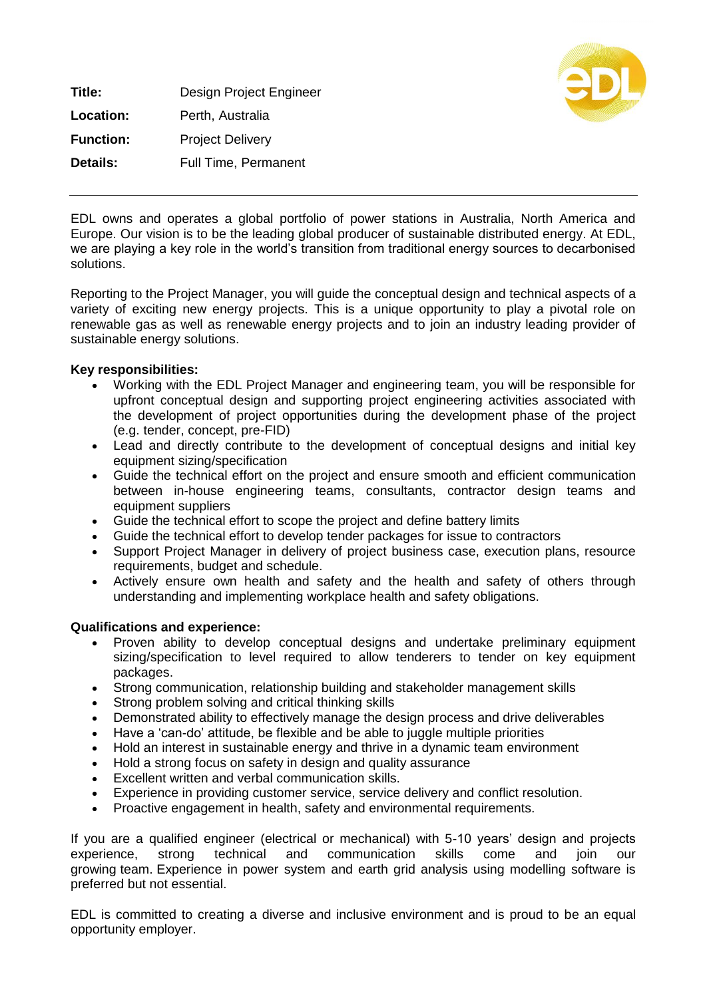**Title:** Design Project Engineer **Location:** Perth, Australia **Function:** Project Delivery **Details:** Full Time, Permanent



EDL owns and operates a global portfolio of power stations in Australia, North America and Europe. Our vision is to be the leading global producer of sustainable distributed energy. At EDL, we are playing a key role in the world's transition from traditional energy sources to decarbonised solutions.

Reporting to the Project Manager, you will guide the conceptual design and technical aspects of a variety of exciting new energy projects. This is a unique opportunity to play a pivotal role on renewable gas as well as renewable energy projects and to join an industry leading provider of sustainable energy solutions.

## **Key responsibilities:**

- Working with the EDL Project Manager and engineering team, you will be responsible for upfront conceptual design and supporting project engineering activities associated with the development of project opportunities during the development phase of the project (e.g. tender, concept, pre-FID)
- Lead and directly contribute to the development of conceptual designs and initial key equipment sizing/specification
- Guide the technical effort on the project and ensure smooth and efficient communication between in-house engineering teams, consultants, contractor design teams and equipment suppliers
- Guide the technical effort to scope the project and define battery limits
- Guide the technical effort to develop tender packages for issue to contractors
- Support Project Manager in delivery of project business case, execution plans, resource requirements, budget and schedule.
- Actively ensure own health and safety and the health and safety of others through understanding and implementing workplace health and safety obligations.

## **Qualifications and experience:**

- Proven ability to develop conceptual designs and undertake preliminary equipment sizing/specification to level required to allow tenderers to tender on key equipment packages.
- Strong communication, relationship building and stakeholder management skills
- Strong problem solving and critical thinking skills
- Demonstrated ability to effectively manage the design process and drive deliverables
- Have a 'can-do' attitude, be flexible and be able to juggle multiple priorities
- Hold an interest in sustainable energy and thrive in a dynamic team environment
- Hold a strong focus on safety in design and quality assurance
- Excellent written and verbal communication skills.
- Experience in providing customer service, service delivery and conflict resolution.
- Proactive engagement in health, safety and environmental requirements.

If you are a qualified engineer (electrical or mechanical) with 5-10 years' design and projects experience, strong technical and communication skills come and join our growing team. Experience in power system and earth grid analysis using modelling software is preferred but not essential.

EDL is committed to creating a diverse and inclusive environment and is proud to be an equal opportunity employer.